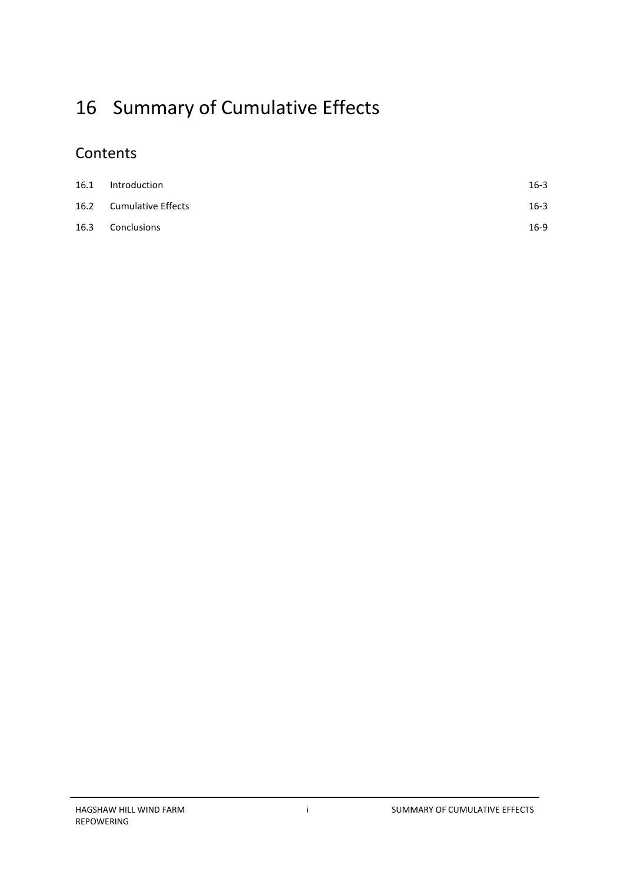# 16 Summary of Cumulative Effects

## **Contents**

| 16.1 | Introduction       | $16 - 3$ |
|------|--------------------|----------|
| 16.2 | Cumulative Effects | $16 - 3$ |
| 16.3 | Conclusions        | $16-9$   |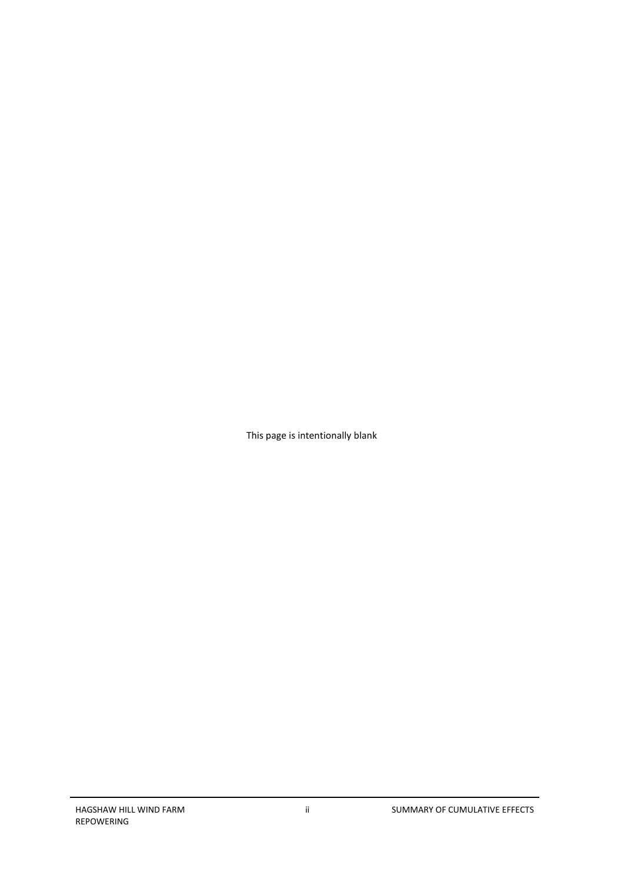This page is intentionally blank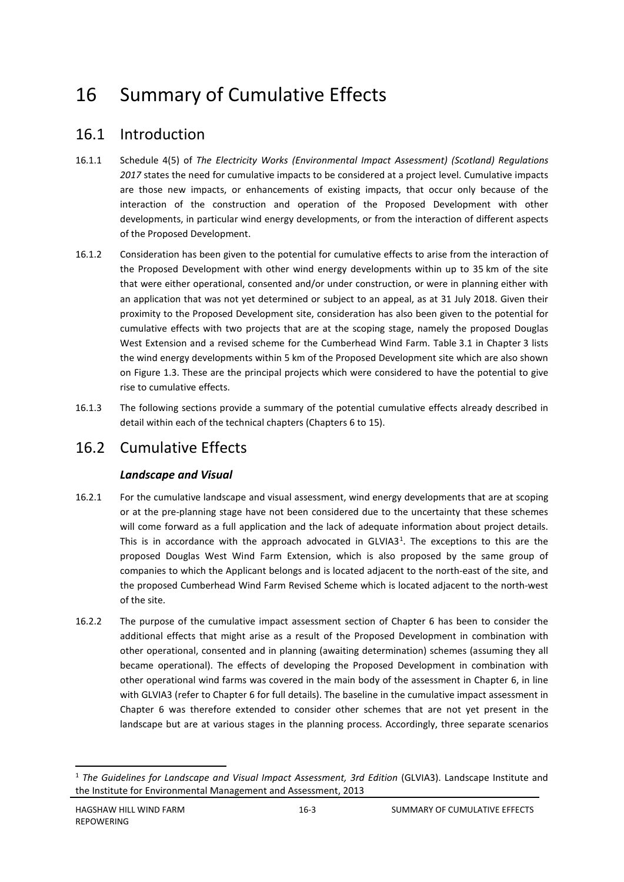## 16 Summary of Cumulative Effects

### <span id="page-2-0"></span>16.1 Introduction

- 16.1.1 Schedule 4(5) of *The Electricity Works (Environmental Impact Assessment) (Scotland) Regulations 2017* states the need for cumulative impacts to be considered at a project level. Cumulative impacts are those new impacts, or enhancements of existing impacts, that occur only because of the interaction of the construction and operation of the Proposed Development with other developments, in particular wind energy developments, or from the interaction of different aspects of the Proposed Development.
- 16.1.2 Consideration has been given to the potential for cumulative effects to arise from the interaction of the Proposed Development with other wind energy developments within up to 35 km of the site that were either operational, consented and/or under construction, or were in planning either with an application that was not yet determined or subject to an appeal, as at 31 July 2018. Given their proximity to the Proposed Development site, consideration has also been given to the potential for cumulative effects with two projects that are at the scoping stage, namely the proposed Douglas West Extension and a revised scheme for the Cumberhead Wind Farm. Table 3.1 in Chapter 3 lists the wind energy developments within 5 km of the Proposed Development site which are also shown on Figure 1.3. These are the principal projects which were considered to have the potential to give rise to cumulative effects.
- 16.1.3 The following sections provide a summary of the potential cumulative effects already described in detail within each of the technical chapters (Chapters 6 to 15).

## <span id="page-2-1"></span>16.2 Cumulative Effects

#### *Landscape and Visual*

- 16.2.1 For the cumulative landscape and visual assessment, wind energy developments that are at scoping or at the pre-planning stage have not been considered due to the uncertainty that these schemes will come forward as a full application and the lack of adequate information about project details. This is in accordance with the approach advocated in GLVIA3<sup>[1](#page-2-2)</sup>. The exceptions to this are the proposed Douglas West Wind Farm Extension, which is also proposed by the same group of companies to which the Applicant belongs and is located adjacent to the north-east of the site, and the proposed Cumberhead Wind Farm Revised Scheme which is located adjacent to the north-west of the site.
- 16.2.2 The purpose of the cumulative impact assessment section of Chapter 6 has been to consider the additional effects that might arise as a result of the Proposed Development in combination with other operational, consented and in planning (awaiting determination) schemes (assuming they all became operational). The effects of developing the Proposed Development in combination with other operational wind farms was covered in the main body of the assessment in Chapter 6, in line with GLVIA3 (refer to Chapter 6 for full details). The baseline in the cumulative impact assessment in Chapter 6 was therefore extended to consider other schemes that are not yet present in the landscape but are at various stages in the planning process. Accordingly, three separate scenarios

<span id="page-2-2"></span><sup>&</sup>lt;sup>1</sup> The Guidelines for Landscape and Visual Impact Assessment, 3rd Edition (GLVIA3). Landscape Institute and the Institute for Environmental Management and Assessment, 2013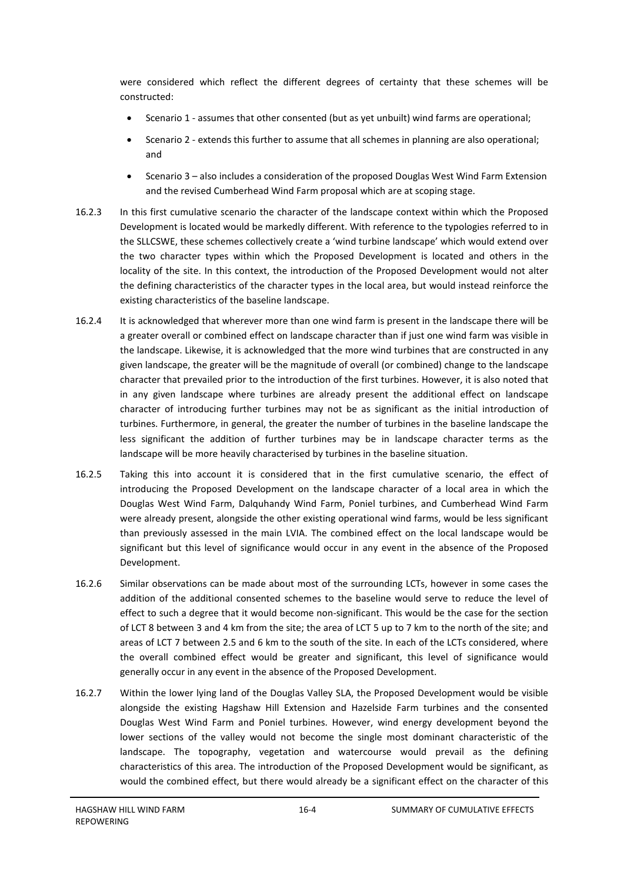were considered which reflect the different degrees of certainty that these schemes will be constructed:

- Scenario 1 assumes that other consented (but as yet unbuilt) wind farms are operational;
- Scenario 2 extends this further to assume that all schemes in planning are also operational; and
- Scenario 3 also includes a consideration of the proposed Douglas West Wind Farm Extension and the revised Cumberhead Wind Farm proposal which are at scoping stage.
- 16.2.3 In this first cumulative scenario the character of the landscape context within which the Proposed Development is located would be markedly different. With reference to the typologies referred to in the SLLCSWE, these schemes collectively create a 'wind turbine landscape' which would extend over the two character types within which the Proposed Development is located and others in the locality of the site. In this context, the introduction of the Proposed Development would not alter the defining characteristics of the character types in the local area, but would instead reinforce the existing characteristics of the baseline landscape.
- 16.2.4 It is acknowledged that wherever more than one wind farm is present in the landscape there will be a greater overall or combined effect on landscape character than if just one wind farm was visible in the landscape. Likewise, it is acknowledged that the more wind turbines that are constructed in any given landscape, the greater will be the magnitude of overall (or combined) change to the landscape character that prevailed prior to the introduction of the first turbines. However, it is also noted that in any given landscape where turbines are already present the additional effect on landscape character of introducing further turbines may not be as significant as the initial introduction of turbines. Furthermore, in general, the greater the number of turbines in the baseline landscape the less significant the addition of further turbines may be in landscape character terms as the landscape will be more heavily characterised by turbines in the baseline situation.
- 16.2.5 Taking this into account it is considered that in the first cumulative scenario, the effect of introducing the Proposed Development on the landscape character of a local area in which the Douglas West Wind Farm, Dalquhandy Wind Farm, Poniel turbines, and Cumberhead Wind Farm were already present, alongside the other existing operational wind farms, would be less significant than previously assessed in the main LVIA. The combined effect on the local landscape would be significant but this level of significance would occur in any event in the absence of the Proposed Development.
- 16.2.6 Similar observations can be made about most of the surrounding LCTs, however in some cases the addition of the additional consented schemes to the baseline would serve to reduce the level of effect to such a degree that it would become non-significant. This would be the case for the section of LCT 8 between 3 and 4 km from the site; the area of LCT 5 up to 7 km to the north of the site; and areas of LCT 7 between 2.5 and 6 km to the south of the site. In each of the LCTs considered, where the overall combined effect would be greater and significant, this level of significance would generally occur in any event in the absence of the Proposed Development.
- 16.2.7 Within the lower lying land of the Douglas Valley SLA, the Proposed Development would be visible alongside the existing Hagshaw Hill Extension and Hazelside Farm turbines and the consented Douglas West Wind Farm and Poniel turbines. However, wind energy development beyond the lower sections of the valley would not become the single most dominant characteristic of the landscape. The topography, vegetation and watercourse would prevail as the defining characteristics of this area. The introduction of the Proposed Development would be significant, as would the combined effect, but there would already be a significant effect on the character of this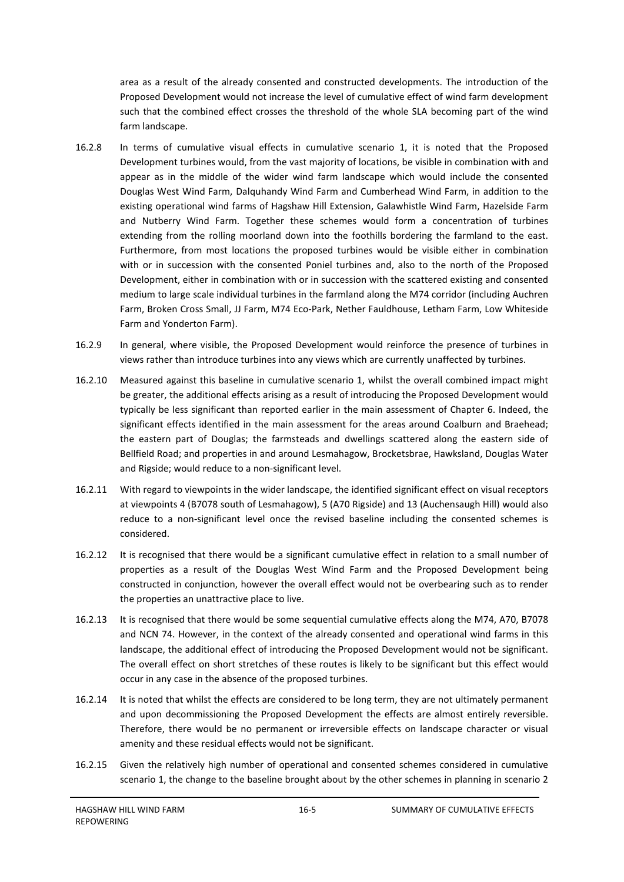area as a result of the already consented and constructed developments. The introduction of the Proposed Development would not increase the level of cumulative effect of wind farm development such that the combined effect crosses the threshold of the whole SLA becoming part of the wind farm landscape.

- 16.2.8 In terms of cumulative visual effects in cumulative scenario 1, it is noted that the Proposed Development turbines would, from the vast majority of locations, be visible in combination with and appear as in the middle of the wider wind farm landscape which would include the consented Douglas West Wind Farm, Dalquhandy Wind Farm and Cumberhead Wind Farm, in addition to the existing operational wind farms of Hagshaw Hill Extension, Galawhistle Wind Farm, Hazelside Farm and Nutberry Wind Farm. Together these schemes would form a concentration of turbines extending from the rolling moorland down into the foothills bordering the farmland to the east. Furthermore, from most locations the proposed turbines would be visible either in combination with or in succession with the consented Poniel turbines and, also to the north of the Proposed Development, either in combination with or in succession with the scattered existing and consented medium to large scale individual turbines in the farmland along the M74 corridor (including Auchren Farm, Broken Cross Small, JJ Farm, M74 Eco-Park, Nether Fauldhouse, Letham Farm, Low Whiteside Farm and Yonderton Farm).
- 16.2.9 In general, where visible, the Proposed Development would reinforce the presence of turbines in views rather than introduce turbines into any views which are currently unaffected by turbines.
- 16.2.10 Measured against this baseline in cumulative scenario 1, whilst the overall combined impact might be greater, the additional effects arising as a result of introducing the Proposed Development would typically be less significant than reported earlier in the main assessment of Chapter 6. Indeed, the significant effects identified in the main assessment for the areas around Coalburn and Braehead; the eastern part of Douglas; the farmsteads and dwellings scattered along the eastern side of Bellfield Road; and properties in and around Lesmahagow, Brocketsbrae, Hawksland, Douglas Water and Rigside; would reduce to a non-significant level.
- 16.2.11 With regard to viewpoints in the wider landscape, the identified significant effect on visual receptors at viewpoints 4 (B7078 south of Lesmahagow), 5 (A70 Rigside) and 13 (Auchensaugh Hill) would also reduce to a non-significant level once the revised baseline including the consented schemes is considered.
- 16.2.12 It is recognised that there would be a significant cumulative effect in relation to a small number of properties as a result of the Douglas West Wind Farm and the Proposed Development being constructed in conjunction, however the overall effect would not be overbearing such as to render the properties an unattractive place to live.
- 16.2.13 It is recognised that there would be some sequential cumulative effects along the M74, A70, B7078 and NCN 74. However, in the context of the already consented and operational wind farms in this landscape, the additional effect of introducing the Proposed Development would not be significant. The overall effect on short stretches of these routes is likely to be significant but this effect would occur in any case in the absence of the proposed turbines.
- 16.2.14 It is noted that whilst the effects are considered to be long term, they are not ultimately permanent and upon decommissioning the Proposed Development the effects are almost entirely reversible. Therefore, there would be no permanent or irreversible effects on landscape character or visual amenity and these residual effects would not be significant.
- 16.2.15 Given the relatively high number of operational and consented schemes considered in cumulative scenario 1, the change to the baseline brought about by the other schemes in planning in scenario 2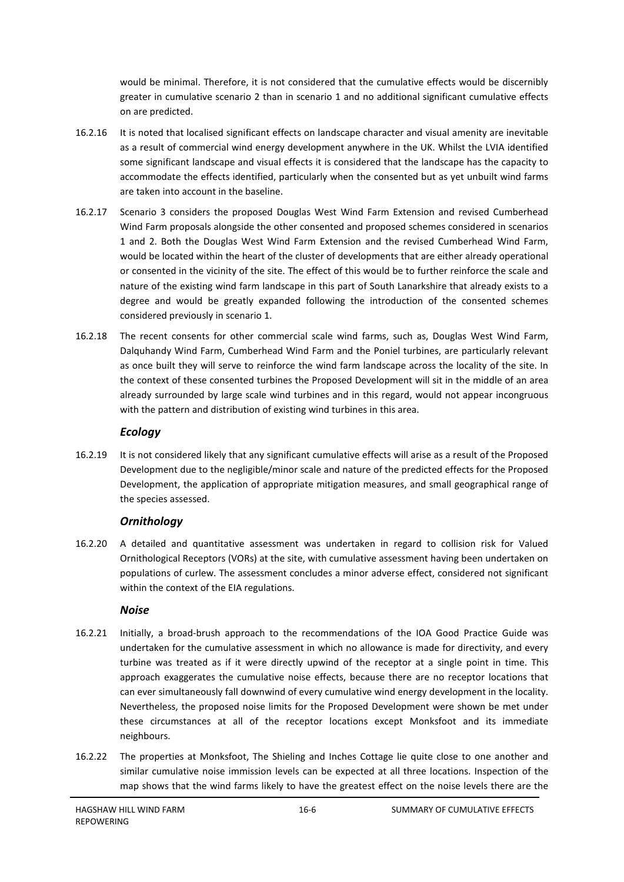would be minimal. Therefore, it is not considered that the cumulative effects would be discernibly greater in cumulative scenario 2 than in scenario 1 and no additional significant cumulative effects on are predicted.

- 16.2.16 It is noted that localised significant effects on landscape character and visual amenity are inevitable as a result of commercial wind energy development anywhere in the UK. Whilst the LVIA identified some significant landscape and visual effects it is considered that the landscape has the capacity to accommodate the effects identified, particularly when the consented but as yet unbuilt wind farms are taken into account in the baseline.
- 16.2.17 Scenario 3 considers the proposed Douglas West Wind Farm Extension and revised Cumberhead Wind Farm proposals alongside the other consented and proposed schemes considered in scenarios 1 and 2. Both the Douglas West Wind Farm Extension and the revised Cumberhead Wind Farm, would be located within the heart of the cluster of developments that are either already operational or consented in the vicinity of the site. The effect of this would be to further reinforce the scale and nature of the existing wind farm landscape in this part of South Lanarkshire that already exists to a degree and would be greatly expanded following the introduction of the consented schemes considered previously in scenario 1.
- 16.2.18 The recent consents for other commercial scale wind farms, such as, Douglas West Wind Farm, Dalquhandy Wind Farm, Cumberhead Wind Farm and the Poniel turbines, are particularly relevant as once built they will serve to reinforce the wind farm landscape across the locality of the site. In the context of these consented turbines the Proposed Development will sit in the middle of an area already surrounded by large scale wind turbines and in this regard, would not appear incongruous with the pattern and distribution of existing wind turbines in this area.

#### *Ecology*

16.2.19 It is not considered likely that any significant cumulative effects will arise as a result of the Proposed Development due to the negligible/minor scale and nature of the predicted effects for the Proposed Development, the application of appropriate mitigation measures, and small geographical range of the species assessed.

#### *Ornithology*

16.2.20 A detailed and quantitative assessment was undertaken in regard to collision risk for Valued Ornithological Receptors (VORs) at the site, with cumulative assessment having been undertaken on populations of curlew. The assessment concludes a minor adverse effect, considered not significant within the context of the EIA regulations.

#### *Noise*

- 16.2.21 Initially, a broad-brush approach to the recommendations of the IOA Good Practice Guide was undertaken for the cumulative assessment in which no allowance is made for directivity, and every turbine was treated as if it were directly upwind of the receptor at a single point in time. This approach exaggerates the cumulative noise effects, because there are no receptor locations that can ever simultaneously fall downwind of every cumulative wind energy development in the locality. Nevertheless, the proposed noise limits for the Proposed Development were shown be met under these circumstances at all of the receptor locations except Monksfoot and its immediate neighbours.
- 16.2.22 The properties at Monksfoot, The Shieling and Inches Cottage lie quite close to one another and similar cumulative noise immission levels can be expected at all three locations. Inspection of the map shows that the wind farms likely to have the greatest effect on the noise levels there are the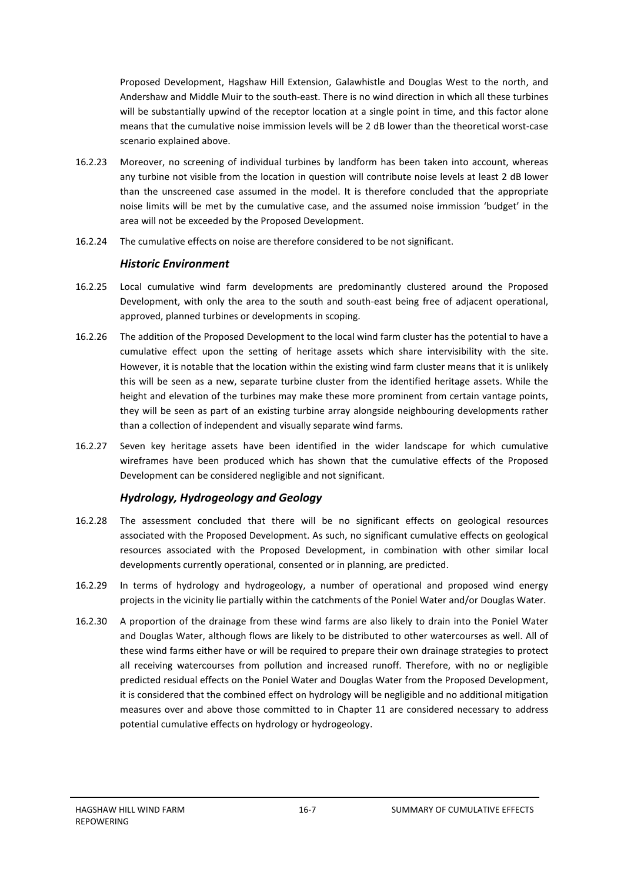Proposed Development, Hagshaw Hill Extension, Galawhistle and Douglas West to the north, and Andershaw and Middle Muir to the south-east. There is no wind direction in which all these turbines will be substantially upwind of the receptor location at a single point in time, and this factor alone means that the cumulative noise immission levels will be 2 dB lower than the theoretical worst-case scenario explained above.

- 16.2.23 Moreover, no screening of individual turbines by landform has been taken into account, whereas any turbine not visible from the location in question will contribute noise levels at least 2 dB lower than the unscreened case assumed in the model. It is therefore concluded that the appropriate noise limits will be met by the cumulative case, and the assumed noise immission 'budget' in the area will not be exceeded by the Proposed Development.
- 16.2.24 The cumulative effects on noise are therefore considered to be not significant.

#### *Historic Environment*

- 16.2.25 Local cumulative wind farm developments are predominantly clustered around the Proposed Development, with only the area to the south and south-east being free of adjacent operational, approved, planned turbines or developments in scoping.
- 16.2.26 The addition of the Proposed Development to the local wind farm cluster has the potential to have a cumulative effect upon the setting of heritage assets which share intervisibility with the site. However, it is notable that the location within the existing wind farm cluster means that it is unlikely this will be seen as a new, separate turbine cluster from the identified heritage assets. While the height and elevation of the turbines may make these more prominent from certain vantage points, they will be seen as part of an existing turbine array alongside neighbouring developments rather than a collection of independent and visually separate wind farms.
- 16.2.27 Seven key heritage assets have been identified in the wider landscape for which cumulative wireframes have been produced which has shown that the cumulative effects of the Proposed Development can be considered negligible and not significant.

#### *Hydrology, Hydrogeology and Geology*

- 16.2.28 The assessment concluded that there will be no significant effects on geological resources associated with the Proposed Development. As such, no significant cumulative effects on geological resources associated with the Proposed Development, in combination with other similar local developments currently operational, consented or in planning, are predicted.
- 16.2.29 In terms of hydrology and hydrogeology, a number of operational and proposed wind energy projects in the vicinity lie partially within the catchments of the Poniel Water and/or Douglas Water.
- 16.2.30 A proportion of the drainage from these wind farms are also likely to drain into the Poniel Water and Douglas Water, although flows are likely to be distributed to other watercourses as well. All of these wind farms either have or will be required to prepare their own drainage strategies to protect all receiving watercourses from pollution and increased runoff. Therefore, with no or negligible predicted residual effects on the Poniel Water and Douglas Water from the Proposed Development, it is considered that the combined effect on hydrology will be negligible and no additional mitigation measures over and above those committed to in Chapter 11 are considered necessary to address potential cumulative effects on hydrology or hydrogeology.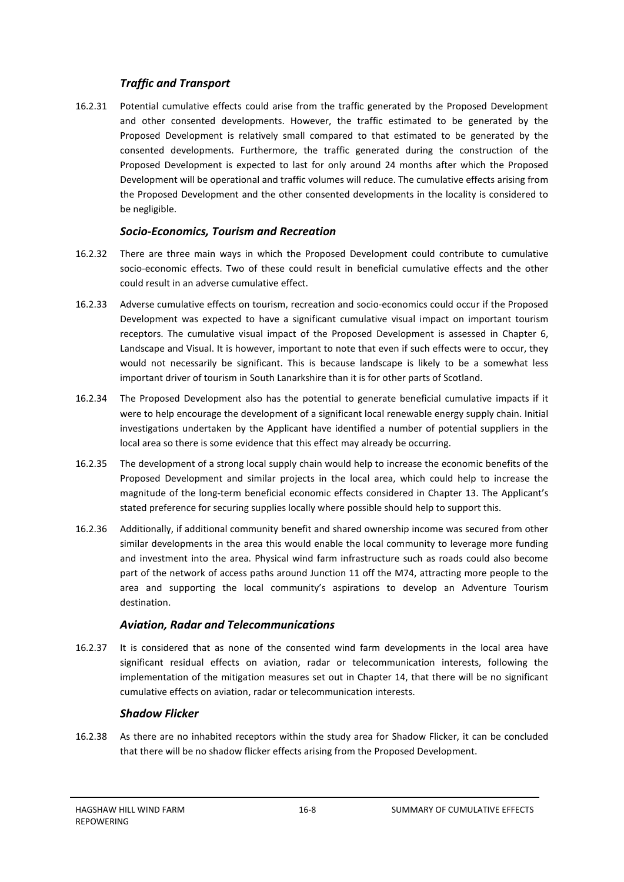#### *Traffic and Transport*

16.2.31 Potential cumulative effects could arise from the traffic generated by the Proposed Development and other consented developments. However, the traffic estimated to be generated by the Proposed Development is relatively small compared to that estimated to be generated by the consented developments. Furthermore, the traffic generated during the construction of the Proposed Development is expected to last for only around 24 months after which the Proposed Development will be operational and traffic volumes will reduce. The cumulative effects arising from the Proposed Development and the other consented developments in the locality is considered to be negligible.

#### *Socio-Economics, Tourism and Recreation*

- 16.2.32 There are three main ways in which the Proposed Development could contribute to cumulative socio-economic effects. Two of these could result in beneficial cumulative effects and the other could result in an adverse cumulative effect.
- 16.2.33 Adverse cumulative effects on tourism, recreation and socio-economics could occur if the Proposed Development was expected to have a significant cumulative visual impact on important tourism receptors. The cumulative visual impact of the Proposed Development is assessed in Chapter 6, Landscape and Visual. It is however, important to note that even if such effects were to occur, they would not necessarily be significant. This is because landscape is likely to be a somewhat less important driver of tourism in South Lanarkshire than it is for other parts of Scotland.
- 16.2.34 The Proposed Development also has the potential to generate beneficial cumulative impacts if it were to help encourage the development of a significant local renewable energy supply chain. Initial investigations undertaken by the Applicant have identified a number of potential suppliers in the local area so there is some evidence that this effect may already be occurring.
- 16.2.35 The development of a strong local supply chain would help to increase the economic benefits of the Proposed Development and similar projects in the local area, which could help to increase the magnitude of the long-term beneficial economic effects considered in Chapter 13. The Applicant's stated preference for securing supplies locally where possible should help to support this.
- 16.2.36 Additionally, if additional community benefit and shared ownership income was secured from other similar developments in the area this would enable the local community to leverage more funding and investment into the area. Physical wind farm infrastructure such as roads could also become part of the network of access paths around Junction 11 off the M74, attracting more people to the area and supporting the local community's aspirations to develop an Adventure Tourism destination.

#### *Aviation, Radar and Telecommunications*

16.2.37 It is considered that as none of the consented wind farm developments in the local area have significant residual effects on aviation, radar or telecommunication interests, following the implementation of the mitigation measures set out in Chapter 14, that there will be no significant cumulative effects on aviation, radar or telecommunication interests.

#### *Shadow Flicker*

16.2.38 As there are no inhabited receptors within the study area for Shadow Flicker, it can be concluded that there will be no shadow flicker effects arising from the Proposed Development.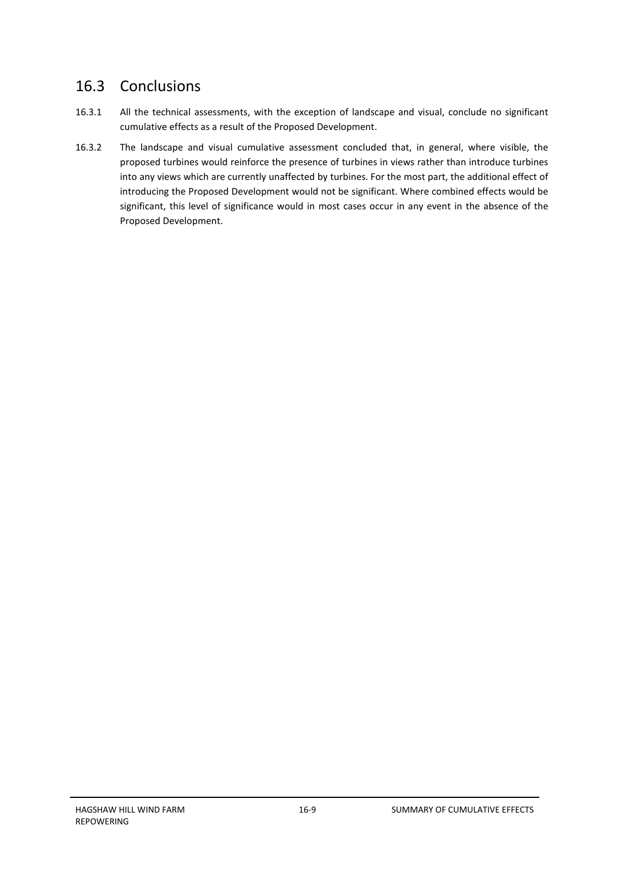## <span id="page-8-0"></span>16.3 Conclusions

- 16.3.1 All the technical assessments, with the exception of landscape and visual, conclude no significant cumulative effects as a result of the Proposed Development.
- 16.3.2 The landscape and visual cumulative assessment concluded that, in general, where visible, the proposed turbines would reinforce the presence of turbines in views rather than introduce turbines into any views which are currently unaffected by turbines. For the most part, the additional effect of introducing the Proposed Development would not be significant. Where combined effects would be significant, this level of significance would in most cases occur in any event in the absence of the Proposed Development.